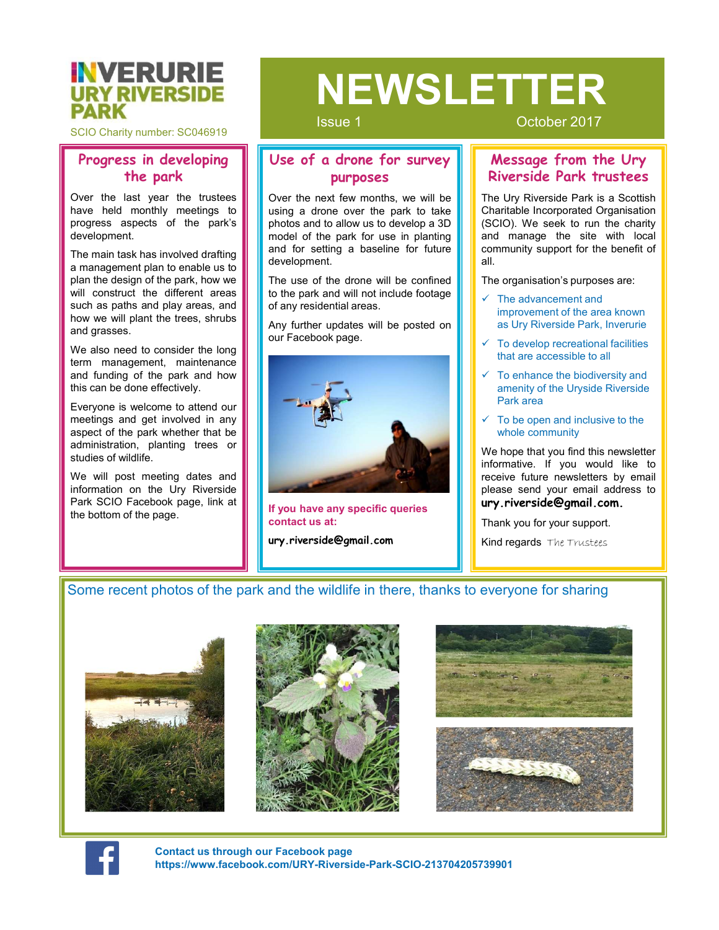

SCIO Charity number: SC046919

## Progress in developing

development.

**ENVERSIDE PROFICE SERVER WERE SIDE WE ARE SERVE AND PROPOSE SERVE AND TROPICION CONSIDER THE PARK OVER THE PARK OVER THE PARK OVER THE PARK OVER THE PARK OVER THE PARK OVER THE PARK PUTPOSES SPECIES IN THE USE OF THE PARK ENTERNIERS AND PRIMERS AND REPARK SCIO Charity number:** SCO46919<br>
SSUE 1 Cocoor the park<br>
Now the last year is developing<br>
the park and the park is the design of the park is over the park of the park is<br>
over the park of **ENVERISIDE**<br>
SECO Charity number: SCO46919<br>
SECO Charity number: SCO46919<br>
The park and the state of a drone for survey<br>
Nessage from the park<br>
Nover the last year the trustees<br>
Nover the next few months, we will be<br>prog **ENDRIE BURISHER SURFARY SURFAME SCONGER SURFAME SCONGER SURFAME SCONGER SURFAME SCONGER SURFAME SCONGER SURFAME SCONGER SURFAME PROPRESS IN THE PARK PROPRESS AND COLOUS DEVELOP TO THE CHANNEL PROPRESS AND THE PARK AND A ENVERSIDE**<br>
SCIO Charity number: SCO46919<br>
SCIO Charity number: SCO46919<br>
Transmit are park<br>
the park last year the trustees<br>
Nover the last year the trustees<br>
Nover the park last year the trustees<br>
Nover the park for su **EXECURIEM SERVERSIDE**<br>
SCIO Charity number: SC046919<br>
Over the last year of a drone for survey<br>
the park<br>
New the last year the tustes<br>
New the last year of the park is the proposes<br>
New the last year the start will be pr

# Solution of a drone for survey<br>
Use of a drone for survey<br>
purposes<br>
Over the next few months, we will be<br>
photos and to allow us to develop a 3D<br>
and for setting a baseline for future<br>
and for setting a baseline for futur ISSUE 1<br>
Using a drone for survey<br>
Dureposes<br>
Over the next few months, we will be<br>
Dureposes<br>
Over the next few months, we will be<br>
using a drone over the park to take is a Scottish<br>
photos and to allow us to develop a 3D SISSUE 1<br>
Use of a drone for survey<br>
Use of a drone for survey<br>
Developer and the Ury<br>
Nessage from the Ury<br>
Nessage from the Ury<br>
Nessage from the Ury<br>
Nessage from the Ury<br>
Nessage from the Ury<br>
Nessage from the Ury<br>
Nes Solution of the park for the park for the park for the park for the park for the park for the park for the park for the park for the park for the park for the park for the park for the park for the park for the park for th Sover the next few months, we will be<br>
lessue 1<br>
October 2017<br>
October 2017<br>
Message from the Ury<br>
purposes<br>
Over the next few months, we will be<br>
photos and collous us to develop a 3D method comporated Organisation<br>
mode Sometimes and the part of the development of the action of the drone of the drone will be posted as a drone of the drone will be use of the drone will be use of the drone will be confined and for search to the part for use SISUE 1<br>
USE of a drone for survey<br>
Description of a drone for survey<br>
Description of a drone for survey<br>
Descriptions and to the park and will be<br>
using a drone over the park to take<br>
Using a drone over the park to take<br> Solution and the part of the part of the property of a drone for survey<br>
Description and the part of the part of the part of the part of the part of the part of the part of the part of the part of the part of the part of t SISSUE 1<br>
SISSUE 1<br>
SISSUE 1<br>
USE of a drone for survey<br>
purposes<br>
Over the next for survey<br>
purposes<br>
Over the park for survey<br>
will be posted on the Ury Riverside Park trustees<br>
Charlable incorporated Organisation<br>
photo SISUE 1<br>
Use of a drone for survey<br>
purposes<br>
Over the next few months, we will be<br>
some over the proposes<br>
Sover the next few months, we will be<br>
survey Riverside Park trustees<br>
The Ury Riverside Park is a Scotlish<br>
photo **ENVERSIDE BURNERSIDE SERVIERS IDE WEBSUGE THE MORE SERVIERS IDE NEWSTANDE SCIO Charity number: SC046919<br>
Progress in developing the park to the park of a drone for survey and to colober 2017<br>
Over the last year the trust** NEWSLETTER

Issue 1 October 2017

#### Use of a drone for survey the park  $\|\|$  purposes

development. **ENTIREMENT SCO46919**<br>
SCO Charity number: SCO46919<br>
SCO Charity number: SCO46919<br>
Over the park<br>
Over the star text two murposes<br>
Now the last year the trustees<br>
Now the last year the trustees<br>
Now the last year the trust **EXAMISE SERVIERSIDE SERVIERSIDE SERVIERSIDE SERVIERSIDE SERVIERSIDE SERVIERSIDE SERVIERSIDE SERVIERSIDE SERVIERSIDE SERVIERSIDE SERVIERSIDE PORTER SERVIERSIDE PORTER COLLECTION (SCIO) THE PARK for the park's purposes asp EVALUATE SIDE MEXALE ISLES AND SEVERALE SCONSOF AND SEVERAL SEVERAL SEVERAL SEVERAL SEVERAL SEVERAL SEVERAL SEVERAL SEVERAL SEVERAL SEVERAL SEVERAL SEVERAL SEVERAL SEVERAL SEVERAL SEVERAL SEVERAL SEVERAL SEVERAL SEVERAL** 



If you have any specific queries contact us at:

**ury.riverside@gmail.com I Rind regards** The Trustees

### Message from the Ury purposes **III. Riverside Park trustees**

Coctober 2017<br>
Message from the Ury<br>
Riverside Park trustees<br>
The Ury Riverside Park is a Scottish<br>
Charitable Incorporated Organisation<br>
(SCIO). We seek to run the charity<br>
and manage the site with local<br>
community suppor Charitable Incorporated Organisation<br>
Charitable **Park Incorporated Organisation**<br>
Charitable Incorporated Organisation<br>
(SCIO). We seek to run the charity<br>
and manage the site with local<br>
community support for the benefit Coctober 2017<br>
Message from the Ury<br>
Riverside Park trustees<br>
The Ury Riverside Park is a Scottish<br>
Charitable Incorporated Organisation<br>
(SCIO). We seek to run the charity<br>
and manage the site with local<br>
community suppor Coctober 2017<br>
Message from the Ury<br>
Riverside Park trustees<br>
The Ury Riverside Park is a Scottish<br>
Charitable Incorporated Organisation<br>
(SCIO). We seek to run the charity<br>
and manage the site with local<br>
community suppor Coctober 2017<br>
Message from the Ury<br>
Riverside Park trustees<br>
The Ury Riverside Park is a Scottish<br>
Charitable Incorporated Organisation<br>
(SCIO). We seek to run the charity<br>
and manage the site with local<br>
community suppor all. The Coconsister are:<br>
Coconsider a consider the Coconsister and the Coconsister are the Coconsistion<br>
Charitable Incorporated Organisation<br>
(SCIO). We seek to run the charity<br>
and manage the site with local<br>
community sup **Message from the Ury**<br>
Riverside Park trustees<br>
The Ury Riverside Park is a Scottish<br>
Charitable Incorporated Organisation<br>
(SCIO). We seek to run the charity<br>
and manage the site with local<br>
community support for the be **Message from the Ury<br>
Riverside Park trustees**<br>
The Ury Riverside Park is a Scottish<br>
Charitable Incorporated Organisation<br>
(SCIO). We seek to run the charity<br>
community support for the benefit of<br>
all.<br>
The organisation **Riverside Park trustees**<br>The Ury Riverside Park is a Scottish<br>Charitable Incorporated Organisation<br>(SCIO). We seek to run the charity<br>and manage the site with local<br>community support for the benefit of<br>all.<br>The organisati The Ury Riverside Park is a Scottish<br>Charitable Incorporated Organisation<br>(SCIO). We seek to run the charity<br>and manage the site with local<br>community support for the benefit of<br>all.<br>The organisation's purposes are:<br> $\sqrt{\frac{$ 

- The advancement and improvement of the area known as Ury Riverside Park, Inverurie
- To develop recreational facilities that are accessible to all
- $\checkmark$  To enhance the biodiversity and amenity of the Uryside Riverside Park area
- To be open and inclusive to the whole community

ury.riverside@gmail.com. SCIO). We seek to run the charity<br>and manage the site with local<br>community support for the benefit of<br>all.<br>The organisation's purposes are:<br> $\checkmark$  The advancement and<br>improvement of the area known<br>as Ury Riverside Park, Inv and manage the site with local<br>community support for the benefit of<br>all.<br>The organisation's purposes are:<br> $\sqrt{\frac{1}{10}}$  The advancement and<br>improvement of the area known<br>as Ury Riverside Park, Inverurie<br> $\sqrt{\frac{1}{10}}$  To enha

#### Some recent photos of the park and the wildlife in there, thanks to everyone for sharing











Contact us through our Facebook page https://www.facebook.com/URY-Riverside-Park-SCIO-213704205739901